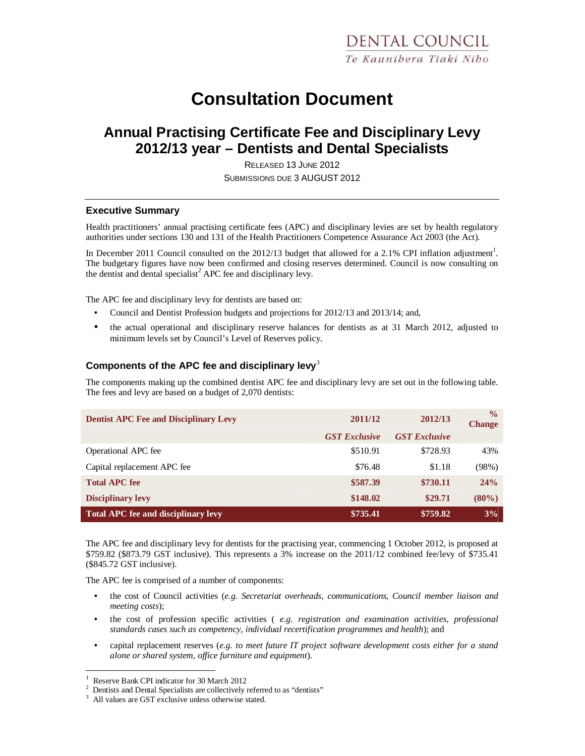# **Consultation Document**

# **Annual Practising Certificate Fee and Disciplinary Levy 2012/13 year – Dentists and Dental Specialists**

RELEASED 13 JUNE 2012 SUBMISSIONS DUE 3 AUGUST 2012

#### **Executive Summary**

Health practitioners' annual practising certificate fees (APC) and disciplinary levies are set by health regulatory authorities under sections 130 and 131 of the Health Practitioners Competence Assurance Act 2003 (the Act).

In December 2011 Council consulted on the 2012/13 budget that allowed for a 2.1% CPI inflation adjustment<sup>1</sup>. The budgetary figures have now been confirmed and closing reserves determined. Council is now consulting on the dentist and dental specialist<sup>2</sup> APC fee and disciplinary levy.

The APC fee and disciplinary levy for dentists are based on:

- Council and Dentist Profession budgets and projections for 2012/13 and 2013/14; and,
- the actual operational and disciplinary reserve balances for dentists as at 31 March 2012, adjusted to minimum levels set by Council's Level of Reserves policy.

## **Components of the APC fee and disciplinary levy**<sup>3</sup>

The components making up the combined dentist APC fee and disciplinary levy are set out in the following table. The fees and levy are based on a budget of 2,070 dentists:

| <b>Dentist APC Fee and Disciplinary Levy</b> | 2011/12              | 2012/13              | $\frac{0}{0}$<br><b>Change</b> |
|----------------------------------------------|----------------------|----------------------|--------------------------------|
|                                              | <b>GST Exclusive</b> | <b>GST</b> Exclusive |                                |
| Operational APC fee                          | \$510.91             | \$728.93             | 43%                            |
| Capital replacement APC fee                  | \$76.48              | \$1.18               | (98%)                          |
| <b>Total APC fee</b>                         | \$587.39             | \$730.11             | 24%                            |
| <b>Disciplinary levy</b>                     | \$148.02             | \$29.71              | $(80\%)$                       |
| <b>Total APC fee and disciplinary levy</b>   | \$735.41             | \$759.82             | 3%                             |

The APC fee and disciplinary levy for dentists for the practising year, commencing 1 October 2012, is proposed at \$759.82 (\$873.79 GST inclusive). This represents a 3% increase on the 2011/12 combined fee/levy of \$735.41 (\$845.72 GST inclusive).

The APC fee is comprised of a number of components:

- the cost of Council activities (*e.g. Secretariat overheads, communications, Council member liaison and meeting costs*);
- the cost of profession specific activities ( *e.g. registration and examination activities, professional standards cases such as competency, individual recertification programmes and health*); and
- capital replacement reserves (*e.g. to meet future IT project software development costs either for a stand alone or shared system, office furniture and equipment*).

-

<sup>1</sup> Reserve Bank CPI indicator for 30 March 2012

<sup>&</sup>lt;sup>2</sup> Dentists and Dental Specialists are collectively referred to as "dentists"

<sup>&</sup>lt;sup>3</sup> All values are GST exclusive unless otherwise stated.